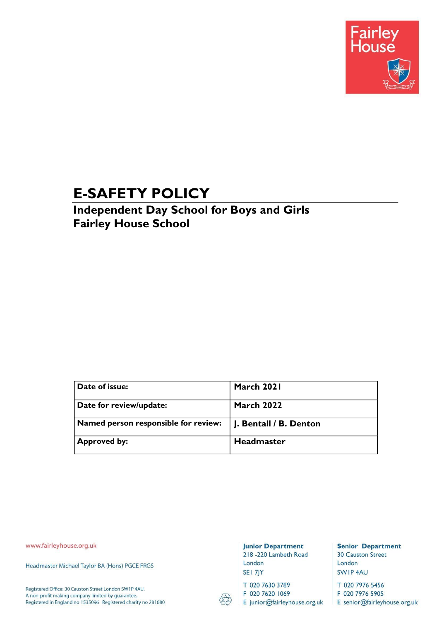

# **E-SAFETY POLICY**

## **Independent Day School for Boys and Girls Fairley House School**

| Date of issue:                       | March 2021             |
|--------------------------------------|------------------------|
| Date for review/update:              | <b>March 2022</b>      |
| Named person responsible for review: | J. Bentall / B. Denton |
| <b>Approved by:</b>                  | Headmaster             |

www.fairleyhouse.org.uk

Headmaster Michael Taylor BA (Hons) PGCE FRGS

Registered Office: 30 Causton Street London SW1P 4AU. A non-profit making company limited by guarantee. Registered in England no 1535096 Registered charity no 281680

#### **Junior Department** 218 -220 Lambeth Road London

SEI 7JY

T 020 7630 3789

F 020 7620 1069 E junior@fairleyhouse.org.uk

**Senior Department 30 Causton Street** London SWIP4AU

T 020 7976 5456 F 020 7976 5905

E senior@fairleyhouse.org.uk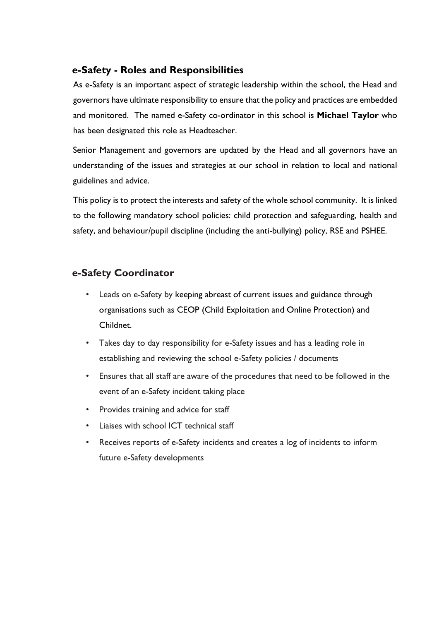#### **e-Safety - Roles and Responsibilities**

As e-Safety is an important aspect of strategic leadership within the school, the Head and governors have ultimate responsibility to ensure that the policy and practices are embedded and monitored. The named e-Safety co-ordinator in this school is **Michael Taylor** who has been designated this role as Headteacher.

Senior Management and governors are updated by the Head and all governors have an understanding of the issues and strategies at our school in relation to local and national guidelines and advice.

This policy is to protect the interests and safety of the whole school community. It is linked to the following mandatory school policies: child protection and safeguarding, health and safety, and behaviour/pupil discipline (including the anti-bullying) policy, RSE and PSHEE.

## **e-Safety Coordinator**

- Leads on e-Safety by keeping abreast of current issues and guidance through organisations such as CEOP (Child Exploitation and Online Protection) and Childnet.
- Takes day to day responsibility for e-Safety issues and has a leading role in establishing and reviewing the school e-Safety policies / documents
- Ensures that all staff are aware of the procedures that need to be followed in the event of an e-Safety incident taking place
- Provides training and advice for staff
- Liaises with school ICT technical staff
- Receives reports of e-Safety incidents and creates a log of incidents to inform future e-Safety developments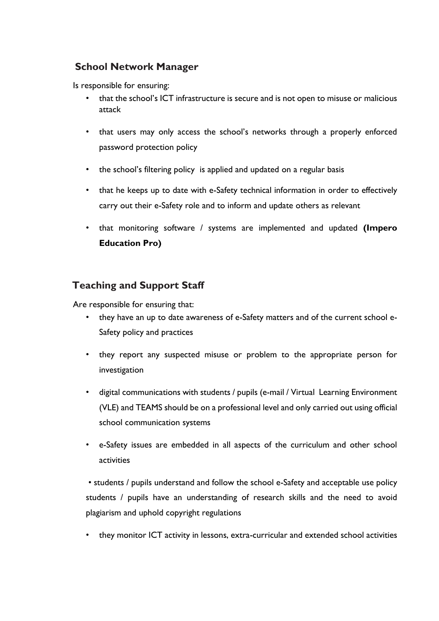## **School Network Manager**

Is responsible for ensuring:

- that the school's ICT infrastructure is secure and is not open to misuse or malicious attack
- that users may only access the school's networks through a properly enforced password protection policy
- the school's filtering policy is applied and updated on a regular basis
- that he keeps up to date with e-Safety technical information in order to effectively carry out their e-Safety role and to inform and update others as relevant
- that monitoring software / systems are implemented and updated **(Impero Education Pro)**

## **Teaching and Support Staff**

Are responsible for ensuring that:

- they have an up to date awareness of e-Safety matters and of the current school e-Safety policy and practices
- they report any suspected misuse or problem to the appropriate person for investigation
- digital communications with students / pupils (e-mail / Virtual Learning Environment (VLE) and TEAMS should be on a professional level and only carried out using official school communication systems
- e-Safety issues are embedded in all aspects of the curriculum and other school activities

• students / pupils understand and follow the school e-Safety and acceptable use policy students / pupils have an understanding of research skills and the need to avoid plagiarism and uphold copyright regulations

• they monitor ICT activity in lessons, extra-curricular and extended school activities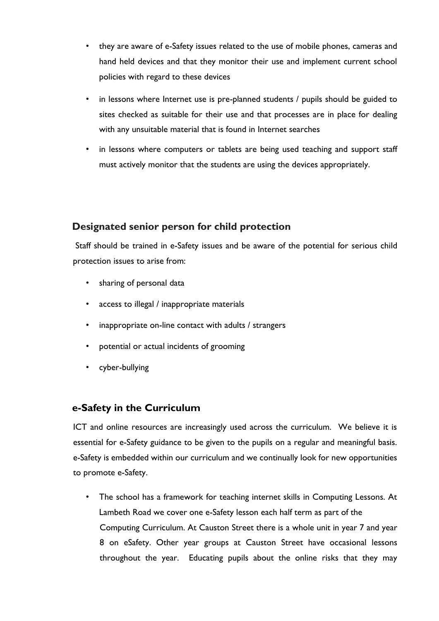- they are aware of e-Safety issues related to the use of mobile phones, cameras and hand held devices and that they monitor their use and implement current school policies with regard to these devices
- in lessons where Internet use is pre-planned students / pupils should be guided to sites checked as suitable for their use and that processes are in place for dealing with any unsuitable material that is found in Internet searches
- in lessons where computers or tablets are being used teaching and support staff must actively monitor that the students are using the devices appropriately.

#### **Designated senior person for child protection**

Staff should be trained in e-Safety issues and be aware of the potential for serious child protection issues to arise from:

- sharing of personal data
- access to illegal / inappropriate materials
- inappropriate on-line contact with adults / strangers
- potential or actual incidents of grooming
- cyber-bullying

#### **e-Safety in the Curriculum**

ICT and online resources are increasingly used across the curriculum. We believe it is essential for e-Safety guidance to be given to the pupils on a regular and meaningful basis. e-Safety is embedded within our curriculum and we continually look for new opportunities to promote e-Safety.

• The school has a framework for teaching internet skills in Computing Lessons. At Lambeth Road we cover one e-Safety lesson each half term as part of the Computing Curriculum. At Causton Street there is a whole unit in year 7 and year 8 on eSafety. Other year groups at Causton Street have occasional lessons throughout the year. Educating pupils about the online risks that they may